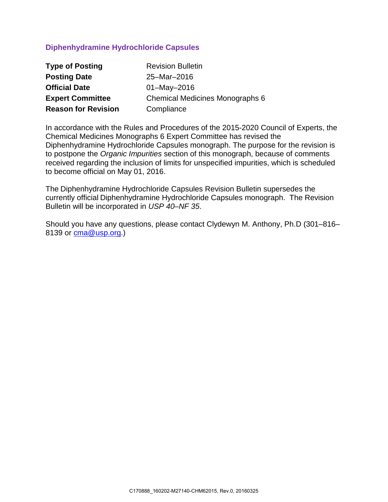# **Diphenhydramine Hydrochloride Capsules**

| <b>Type of Posting</b>     | <b>Revision Bulletin</b>        |
|----------------------------|---------------------------------|
| <b>Posting Date</b>        | 25-Mar-2016                     |
| <b>Official Date</b>       | $01 - May - 2016$               |
| <b>Expert Committee</b>    | Chemical Medicines Monographs 6 |
| <b>Reason for Revision</b> | Compliance                      |

In accordance with the Rules and Procedures of the 2015-2020 Council of Experts, the Chemical Medicines Monographs 6 Expert Committee has revised the Diphenhydramine Hydrochloride Capsules monograph. The purpose for the revision is to postpone the *Organic Impurities* section of this monograph, because of comments received regarding the inclusion of limits for unspecified impurities, which is scheduled to become official on May 01, 2016.

The Diphenhydramine Hydrochloride Capsules Revision Bulletin supersedes the currently official Diphenhydramine Hydrochloride Capsules monograph. The Revision Bulletin will be incorporated in *USP 40–NF 35*.

Should you have any questions, please contact Clydewyn M. Anthony, Ph.D (301–816– 8139 or [cma@usp.org.](mailto:cma@usp.org))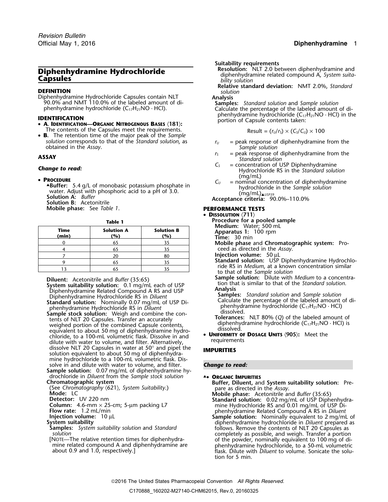**DEFINITION**<br>Diphenhydramine Hydrochloride Capsules contain NLT **Analysis** Diphenhydramine Hydrochloride Capsules contain NLT<br>
90.0% and NMT 110.0% of the labeled amount of di-<br>
phenhydramine hydrochloride (C<sub>17</sub>H<sub>21</sub>NO · HCl). Calculate the percentage of the labeled amount

- **A. IDENTIFICATION—ORGANIC NITROGENOUS BASES** 〈**181**〉**:** The contents of the Capsules meet the requirements. Result =  $(r_U/r_S) \times (C_S/C_U) \times 100$
- • **B.** The retention time of the major peak of the *Sample solution* corresponds to that of the *Standard solution*, as *<sup>r</sup><sup>U</sup>* = peak response of diphenhydramine from the obtained in the *Assay*. *Sample solution*

- - **ABuffer:** 5.4 g/L of monobasic potassium phosphate in  $\frac{1}{2}$  and  $\frac{1}{2}$  by the contomator of the *Sample*<br>water. Adjust with phosphoric acid to a pH of 3.0.<br>**Solution A:** *Buffer*  $\frac{(\text{mg/mL})_{\text{a} \cup \text{S}}}{\text{a} \times \text{$ **Mobile phase:** See *Table 1*. **PERFORMANCE TESTS**

| Medium: Water: 500 mL                                          |                          |                          |               |  |  |
|----------------------------------------------------------------|--------------------------|--------------------------|---------------|--|--|
| Apparatus 1: 100 rpm<br><b>Time: 30 min</b>                    | <b>Solution B</b><br>(%) | <b>Solution A</b><br>(%) | Time<br>(min) |  |  |
| Mobile phase and Chron                                         |                          | 65                       |               |  |  |
| ceed as directed in the A                                      |                          | 65                       |               |  |  |
| Injection volume: 50 µL                                        | 80                       | 20                       |               |  |  |
| <b>Standard solution: USP</b>                                  | 35                       |                          |               |  |  |
| ride RS in <i>Medium</i> , at a k<br>to that of the Cample col |                          |                          |               |  |  |

- Diphenhydramine Related Compound A RS and USP **Analysis**
- 
- **Standard solution:** Nominally 0.07 mg/mL of USP Di-<br>
phenhydramine Hydrochloride RS in *Diluent*<br> **Sample stock solution:** Weigh and combine the con-<br>
tents of NLT 20 Capsules. Transfer an accurately<br>
weighed portion of weighed portion of the combined Capsule contents, and diphenhydramine hydrochloride (C17H21NO · HCl) isolved. equivalent to about 50 mg of diphenhydramine hydro-<br>chloride, to a 100-ml volumetric flask. Dissolve in and **• UNIFORMITY OF DOSAGE UNITS** (905): Meet the chloride, to a 100-mL volumetric flask. Dissolve in and<br>dilute with water to volume, and filter. Alternatively, requirements dissolve NLT 20 Capsules in water at 50° and pipet the **IMPURITIES** solution equivalent to about 50 mg of diphenhydramine hydrochloride to a 100-mL volumetric flask. Dissolve in and dilute with water to volume, and filter. *Change to read:* **Sample solution:** 0.07 mg/mL of diphenhydramine hy-
- drochloride in *Diluent* from the *Sample stock solution* **4. ORGANIC IMPURITIES**<br>**Chromatographic system Buffer**, Diluent, and
- 
- 
- 
- 
- 
- 
- 
- 

**Suitability requirements**<br>**Resolution:** NLT 2.0 between diphenhydramine and **Resolution:** NLT 2.0 between diphenhydramine and **Capsules Capsules diphenhydramine and diphenhydramine related compound A,** *System suita-* **<b>Capsules** *bility solution* 

**Relative standard deviation:** NMT 2.0%, *Standard*

Calculate the percentage of the labeled amount of di-**IDENTIFICATION**<br>**IDENTIFICATION EXECUTE:** The *ISSA* portion of Capsule contents taken:

- 
- **ASSAY ASSAY Standard solution ASSAY Standard solution Standard solution Standard solution**
- **C**<sub>S</sub> = concentration of USP Diphenhydramine **C**<br>Hydrochloride RS in the *Standard solution*<br>Hydrochloride RS in the *Standard solution* • **PROCEDURE**  $(\text{mg/mL})$
- **PROCEDURE**<br> **PROCEDURE**<br> **ABuffer:** 5.4 g/L of monobasic potassium phosphate in  $C_U$  = nominal concentration of diphenhydramine<br>
hydrochloride in the Sample solution
	-

- •**DISSOLUTION** 〈**711**〉
- **Table 1 Procedure for a pooled sample**<br>**Medium:** Water; 500 mL
	- <sup>0</sup> <sup>65</sup> <sup>35</sup> **Mobile phase** and **Chromatographic system:** Proceed as directed in the *Assay*.
	-
	- Injection volume: 50 µL<br>Standard solution: USP Diphenhydramine Hydrochlo-Fride RS in *Medium*, at a known concentration similar<br>to that of the *Sample solution*<br>**Sample solution:** Dilute with *Medium* to a concentra-
- **Diluent:** Acetonitrile and *Buffer* (35:65) **Sample solution:** Dilute with *Medium* to a concentra-<br>System suitability solution: 0.1 mg/mL each of USP and that is similar to that of the *Standard solution*.
- Diphenhydramine Hydrochloride RS in *Diluent* **Samples:** *Standard solution* and *Sample solution*

**Chromatographic system Buffer, Diluent,** and **System suitability solution:** Pre-

Mobile phase: Acetonitrile and *Buffer* (35:65)<br>
Detector: UV 220 nm<br>
Column: 4.6-mm × 25-cm; 5-µm packing L7<br>
Flow rate: 1.2 mL/min<br>
Injection volume: 10 µL<br>
Injection volume: 10 µL<br>
Injection volume: 10 µL<br>
Sample soluti

**System suitability**<br>
System suitability<br>
System suitability solution and *Standard*<br>
Sultion and *Standard*<br>
Sultion and *Standard*<br>
solution and *Standard*<br>
solution and *Standard*<br>
solution and *Standard*<br>
solutions. R tion for 5 min.